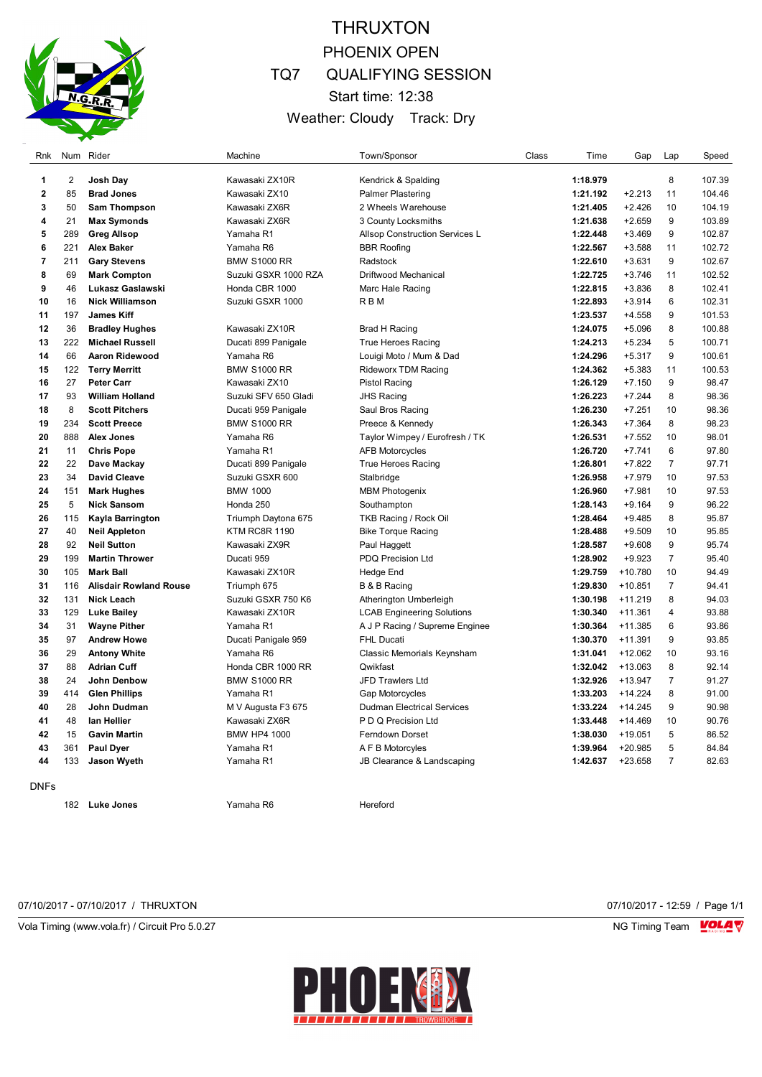

## THRUXTON PHOENIX OPEN TQ7 QUALIFYING SESSION Start time: 12:38 Weather: Cloudy Track: Dry

| Rnk            |                         | Num Rider                     | Machine              | Town/Sponsor                      | Class | Time     | Gap       | Lap            | Speed  |
|----------------|-------------------------|-------------------------------|----------------------|-----------------------------------|-------|----------|-----------|----------------|--------|
| 1              | $\overline{\mathbf{c}}$ | Josh Day                      | Kawasaki ZX10R       | Kendrick & Spalding               |       | 1:18.979 |           | 8              | 107.39 |
| $\mathbf 2$    | 85                      | <b>Brad Jones</b>             | Kawasaki ZX10        | <b>Palmer Plastering</b>          |       | 1:21.192 | $+2.213$  | 11             | 104.46 |
| 3              | 50                      | Sam Thompson                  | Kawasaki ZX6R        | 2 Wheels Warehouse                |       | 1:21.405 | $+2.426$  | 10             | 104.19 |
| 4              | 21                      | <b>Max Symonds</b>            | Kawasaki ZX6R        | 3 County Locksmiths               |       | 1:21.638 | $+2.659$  | 9              | 103.89 |
| 5              | 289                     | <b>Greg Allsop</b>            | Yamaha R1            | Allsop Construction Services L    |       | 1:22.448 | $+3.469$  | 9              | 102.87 |
| 6              | 221                     | <b>Alex Baker</b>             | Yamaha R6            | <b>BBR Roofing</b>                |       | 1:22.567 | $+3.588$  | 11             | 102.72 |
| $\overline{7}$ | 211                     | <b>Gary Stevens</b>           | <b>BMW S1000 RR</b>  | Radstock                          |       | 1:22.610 | $+3.631$  | 9              | 102.67 |
| 8              | 69                      | <b>Mark Compton</b>           | Suzuki GSXR 1000 RZA | Driftwood Mechanical              |       | 1:22.725 | $+3.746$  | 11             | 102.52 |
| 9              | 46                      | Lukasz Gaslawski              | Honda CBR 1000       | Marc Hale Racing                  |       | 1:22.815 | $+3.836$  | 8              | 102.41 |
| 10             | 16                      | <b>Nick Williamson</b>        | Suzuki GSXR 1000     | R B M                             |       | 1:22.893 | $+3.914$  | 6              | 102.31 |
| 11             | 197                     | <b>James Kiff</b>             |                      |                                   |       | 1:23.537 | $+4.558$  | 9              | 101.53 |
| 12             | 36                      | <b>Bradley Hughes</b>         | Kawasaki ZX10R       | <b>Brad H Racing</b>              |       | 1:24.075 | $+5.096$  | 8              | 100.88 |
| 13             | 222                     | <b>Michael Russell</b>        | Ducati 899 Panigale  | <b>True Heroes Racing</b>         |       | 1:24.213 | $+5.234$  | 5              | 100.71 |
| 14             | 66                      | <b>Aaron Ridewood</b>         | Yamaha R6            | Louigi Moto / Mum & Dad           |       | 1:24.296 | $+5.317$  | 9              | 100.61 |
| 15             | 122                     | <b>Terry Merritt</b>          | <b>BMW S1000 RR</b>  | <b>Rideworx TDM Racing</b>        |       | 1:24.362 | $+5.383$  | 11             | 100.53 |
| 16             | 27                      | <b>Peter Carr</b>             | Kawasaki ZX10        | <b>Pistol Racing</b>              |       | 1:26.129 | $+7.150$  | 9              | 98.47  |
| 17             | 93                      | <b>William Holland</b>        | Suzuki SFV 650 Gladi | <b>JHS Racing</b>                 |       | 1:26.223 | $+7.244$  | 8              | 98.36  |
| 18             | 8                       | <b>Scott Pitchers</b>         | Ducati 959 Panigale  | Saul Bros Racing                  |       | 1:26.230 | $+7.251$  | 10             | 98.36  |
| 19             | 234                     | <b>Scott Preece</b>           | <b>BMW S1000 RR</b>  | Preece & Kennedy                  |       | 1:26.343 | $+7.364$  | 8              | 98.23  |
| 20             | 888                     | <b>Alex Jones</b>             | Yamaha R6            | Taylor Wimpey / Eurofresh / TK    |       | 1:26.531 | $+7.552$  | 10             | 98.01  |
| 21             | 11                      | <b>Chris Pope</b>             | Yamaha R1            | <b>AFB Motorcycles</b>            |       | 1:26.720 | $+7.741$  | 6              | 97.80  |
| 22             | 22                      | Dave Mackay                   | Ducati 899 Panigale  | <b>True Heroes Racing</b>         |       | 1:26.801 | $+7.822$  | $\overline{7}$ | 97.71  |
| 23             | 34                      | <b>David Cleave</b>           | Suzuki GSXR 600      | Stalbridge                        |       | 1:26.958 | $+7.979$  | 10             | 97.53  |
| 24             | 151                     | <b>Mark Hughes</b>            | <b>BMW 1000</b>      | <b>MBM Photogenix</b>             |       | 1:26.960 | $+7.981$  | 10             | 97.53  |
| 25             | 5                       | <b>Nick Sansom</b>            | Honda 250            | Southampton                       |       | 1:28.143 | $+9.164$  | 9              | 96.22  |
| 26             | 115                     | Kayla Barrington              | Triumph Daytona 675  | TKB Racing / Rock Oil             |       | 1:28.464 | $+9.485$  | 8              | 95.87  |
| 27             | 40                      | <b>Neil Appleton</b>          | <b>KTM RC8R 1190</b> | <b>Bike Torque Racing</b>         |       | 1:28.488 | $+9.509$  | 10             | 95.85  |
| 28             | 92                      | <b>Neil Sutton</b>            | Kawasaki ZX9R        | Paul Haggett                      |       | 1:28.587 | $+9.608$  | 9              | 95.74  |
| 29             | 199                     | <b>Martin Thrower</b>         | Ducati 959           | PDQ Precision Ltd                 |       | 1:28.902 | $+9.923$  | $\overline{7}$ | 95.40  |
| 30             | 105                     | <b>Mark Ball</b>              | Kawasaki ZX10R       | Hedge End                         |       | 1:29.759 | +10.780   | 10             | 94.49  |
| 31             | 116                     | <b>Alisdair Rowland Rouse</b> | Triumph 675          | B & B Racing                      |       | 1:29.830 | $+10.851$ | $\overline{7}$ | 94.41  |
| 32             | 131                     | <b>Nick Leach</b>             | Suzuki GSXR 750 K6   | Atherington Umberleigh            |       | 1:30.198 | $+11.219$ | 8              | 94.03  |
| 33             | 129                     | <b>Luke Bailey</b>            | Kawasaki ZX10R       | <b>LCAB Engineering Solutions</b> |       | 1:30.340 | $+11.361$ | 4              | 93.88  |
| 34             | 31                      | <b>Wayne Pither</b>           | Yamaha R1            | A J P Racing / Supreme Enginee    |       | 1:30.364 | $+11.385$ | 6              | 93.86  |
| 35             | 97                      | <b>Andrew Howe</b>            | Ducati Panigale 959  | <b>FHL Ducati</b>                 |       | 1:30.370 | $+11.391$ | 9              | 93.85  |
| 36             | 29                      | <b>Antony White</b>           | Yamaha R6            | Classic Memorials Keynsham        |       | 1:31.041 | $+12.062$ | 10             | 93.16  |
| 37             | 88                      | <b>Adrian Cuff</b>            | Honda CBR 1000 RR    | Qwikfast                          |       | 1:32.042 | +13.063   | 8              | 92.14  |
| 38             | 24                      | John Denbow                   | <b>BMW S1000 RR</b>  | JFD Trawlers Ltd                  |       | 1:32.926 | $+13.947$ | $\overline{7}$ | 91.27  |
| 39             | 414                     | <b>Glen Phillips</b>          | Yamaha R1            | Gap Motorcycles                   |       | 1:33.203 | $+14.224$ | 8              | 91.00  |
| 40             | 28                      | John Dudman                   | M V Augusta F3 675   | <b>Dudman Electrical Services</b> |       | 1:33.224 | $+14.245$ | 9              | 90.98  |
| 41             | 48                      | lan Hellier                   | Kawasaki ZX6R        | P D Q Precision Ltd               |       | 1:33.448 | $+14.469$ | 10             | 90.76  |
| 42             | 15                      | <b>Gavin Martin</b>           | <b>BMW HP4 1000</b>  | <b>Ferndown Dorset</b>            |       | 1:38.030 | $+19.051$ | 5              | 86.52  |
| 43             | 361                     | <b>Paul Dyer</b>              | Yamaha R1            | A F B Motorcyles                  |       | 1:39.964 | $+20.985$ | 5              | 84.84  |
| 44             | 133                     | <b>Jason Wyeth</b>            | Yamaha R1            | JB Clearance & Landscaping        |       | 1:42.637 | +23.658   | $\overline{7}$ | 82.63  |
| <b>DNFs</b>    |                         |                               |                      |                                   |       |          |           |                |        |

**Luke Jones Manual Luke Jones Yamaha R6** Hereford

07/10/2017 - 07/10/2017 / THRUXTON 07/10/2017 - 12:59 / Page 1/1

Vola Timing (www.vola.fr) / Circuit Pro 5.0.27 NG Timing Team VOLA V



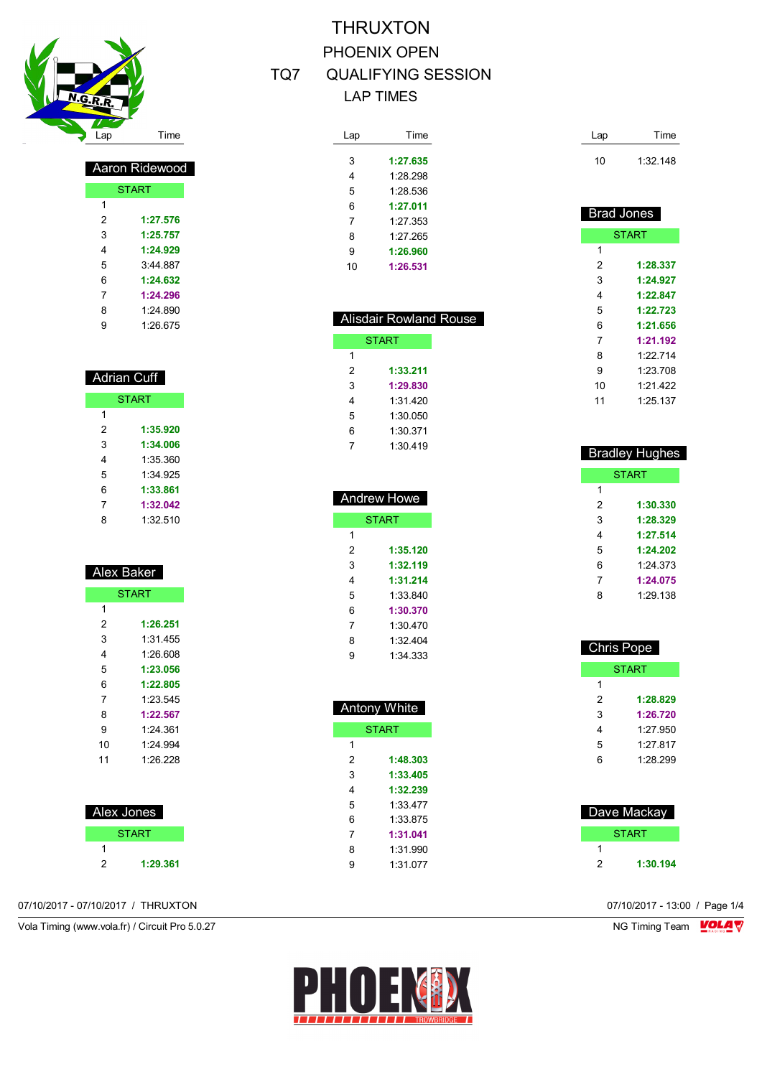

| Aaron Ridew <u>ood</u> |              |  |  |  |  |
|------------------------|--------------|--|--|--|--|
|                        | <b>START</b> |  |  |  |  |
| 1                      |              |  |  |  |  |
| 2                      | 1:27.576     |  |  |  |  |
| 3                      | 1:25.757     |  |  |  |  |
| 4                      | 1:24.929     |  |  |  |  |
| 5                      | 3:44.887     |  |  |  |  |
| 6                      | 1:24.632     |  |  |  |  |
| 7                      | 1:24.296     |  |  |  |  |
| 8                      | 1.24 890     |  |  |  |  |
| 9                      | 1.26.675     |  |  |  |  |

| <b>Adrian Cuff</b> |              |  |  |
|--------------------|--------------|--|--|
|                    | <b>START</b> |  |  |
| 1                  |              |  |  |
| 2                  | 1:35.920     |  |  |
| 3                  | 1:34.006     |  |  |
| 4                  | 1:35.360     |  |  |
| 5                  | 1:34 925     |  |  |
| 6                  | 1:33.861     |  |  |
| 7                  | 1:32.042     |  |  |
| 8                  | 1:32.510     |  |  |

| <b>Alex Baker</b> |          |  |  |  |
|-------------------|----------|--|--|--|
| <b>START</b>      |          |  |  |  |
| 1                 |          |  |  |  |
| 2                 | 1:26.251 |  |  |  |
| 3                 | 1:31 455 |  |  |  |
| 4                 | 1.26.608 |  |  |  |
| 5                 | 1:23.056 |  |  |  |
| 6                 | 1:22.805 |  |  |  |
| 7                 | 1:23.545 |  |  |  |
| 8                 | 1:22.567 |  |  |  |
| 9                 | 1:24.361 |  |  |  |
| 10                | 1.24 994 |  |  |  |
| 11                | 1:26.228 |  |  |  |
|                   |          |  |  |  |
|                   |          |  |  |  |

| Alex Jones |              |  |  |  |
|------------|--------------|--|--|--|
|            | <b>START</b> |  |  |  |
|            |              |  |  |  |
| 2          | 1:29.361     |  |  |  |

| Lap | Time     |
|-----|----------|
|     |          |
| 3   | 1:27.635 |
| 4   | 1.28.298 |
| 5   | 1.28.536 |
| 6   | 1:27.011 |
| 7   | 1.27 353 |
| 8   | 1.27 265 |
| 9   | 1:26.960 |
| 10  | 1:26.531 |

| <b>Alisdair Rowland Rouse</b> |              |  |  |  |
|-------------------------------|--------------|--|--|--|
|                               | <b>START</b> |  |  |  |
| 1                             |              |  |  |  |
| 2                             | 1:33.211     |  |  |  |
| 3                             | 1:29.830     |  |  |  |
| 4                             | 1:31 420     |  |  |  |
| 5                             | 1:30.050     |  |  |  |
| 6                             | 1:30.371     |  |  |  |
| 7                             | 1:30 419     |  |  |  |
|                               |              |  |  |  |

| <b>Andrew Howe</b> |          |  |  |  |
|--------------------|----------|--|--|--|
| <b>START</b>       |          |  |  |  |
| 1                  |          |  |  |  |
| 2                  | 1:35.120 |  |  |  |
| 3                  | 1:32.119 |  |  |  |
| 4                  | 1:31.214 |  |  |  |
| 5                  | 1:33 840 |  |  |  |
| 6                  | 1:30.370 |  |  |  |
| 7                  | 1:30,470 |  |  |  |
| 8                  | 1:32 404 |  |  |  |
| 9                  | 1:34 333 |  |  |  |
|                    |          |  |  |  |

|              | <b>Antony White</b> |  |  |
|--------------|---------------------|--|--|
| <b>START</b> |                     |  |  |
| 1            |                     |  |  |
| 2            | 1:48.303            |  |  |
| 3            | 1:33.405            |  |  |
| 4            | 1:32.239            |  |  |
| 5            | 1:33 477            |  |  |
| 6            | 1:33 875            |  |  |
| 7            | 1:31.041            |  |  |
| 8            | 1:31.990            |  |  |
| 9            | 1 31 077            |  |  |
|              |                     |  |  |

| Lap | Time     |
|-----|----------|
| 10  | 1:32.148 |
|     |          |

| Brad Jones |
|------------|
|            |

|    | <b>START</b> |
|----|--------------|
| 1  |              |
| 2  | 1:28.337     |
| 3  | 1:24.927     |
| 4  | 1:22.847     |
| 5  | 1:22.723     |
| 6  | 1:21.656     |
| 7  | 1:21.192     |
| 8  | 1.22714      |
| 9  | 1.23 708     |
| 10 | 1:21.422     |
| 11 | 1.25137      |

| <b>Bradley Hughes</b> |          |
|-----------------------|----------|
| <b>START</b>          |          |
| 1                     |          |
| 2                     | 1:30.330 |
| 3                     | 1:28.329 |
| 4                     | 1:27.514 |
| 5                     | 1:24.202 |
| 6                     | 1:24 373 |
| 7                     | 1:24.075 |
| 8                     | 1.29.138 |
|                       |          |

|              | <b>Chris Pope</b> |
|--------------|-------------------|
| <b>START</b> |                   |
| 1            |                   |
| 2            | 1:28.829          |
| 3            | 1:26.720          |
| 4            | 1.27 950          |
| 5            | 1.27817           |
| 6            | 1.28299           |
|              |                   |

| Dave Mackay |              |
|-------------|--------------|
|             | <b>START</b> |
|             |              |
| 2           | 1:30.194     |

07/10/2017 - 07/10/2017 / THRUXTON 07/10/2017 - 13:00 / Page 1/4

Vola Timing (www.vola.fr) / Circuit Pro 5.0.27 NG Timing Team MC Timing Team MC Timing Team M

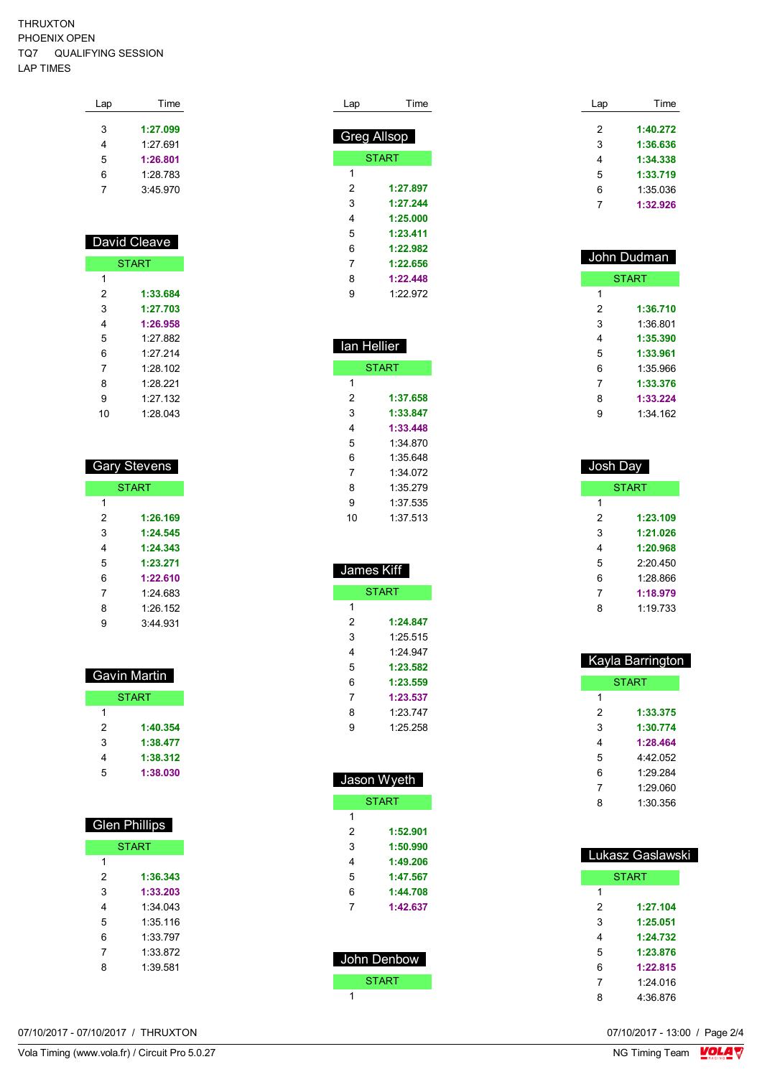Ï

| Lap | Time     |
|-----|----------|
| 3   | 1:27.099 |
| 4   | 1.27691  |
| 5   | 1:26.801 |
| 6   | 1:28.783 |
|     | 3:45.970 |
|     |          |

| David Cleave |              |  |  |
|--------------|--------------|--|--|
|              | <b>START</b> |  |  |
| 1            |              |  |  |
| 2            | 1:33.684     |  |  |
| 3            | 1:27.703     |  |  |
| 4            | 1:26.958     |  |  |
| 5            | 1.27 882     |  |  |
| 6            | 1.27214      |  |  |
| 7            | 1.28102      |  |  |
| 8            | 1.28.221     |  |  |
| 9            | 1:27.132     |  |  |
| 10           | 1:28.043     |  |  |

| <b>Gary Stevens</b> |          |  |
|---------------------|----------|--|
| <b>START</b>        |          |  |
| 1                   |          |  |
| 2                   | 1:26.169 |  |
| 3                   | 1:24.545 |  |
| 4                   | 1:24.343 |  |
| 5                   | 1:23.271 |  |
| 6                   | 1:22.610 |  |
| 7                   | 1.24.683 |  |
| 8                   | 1:26.152 |  |
| 9                   | 3.44.931 |  |

| Gavin Martin |              |
|--------------|--------------|
|              | <b>START</b> |
| 1            |              |
| 2            | 1:40.354     |
| 3            | 1:38.477     |
| 4            | 1:38.312     |
| 5            | 1:38.030     |
|              |              |

| <b>Glen Phillips</b> |          |  |
|----------------------|----------|--|
| <b>START</b>         |          |  |
| 1                    |          |  |
| 2                    | 1:36.343 |  |
| 3                    | 1:33.203 |  |
| 4                    | 1:34 043 |  |
| 5                    | 1:35 116 |  |
| 6                    | 1:33 797 |  |
| 7                    | 1:33 872 |  |
| ጸ                    | 1:39 581 |  |
|                      |          |  |

| Lap                | Time         |
|--------------------|--------------|
| <b>Greg Allsop</b> |              |
|                    | <b>START</b> |
| 1                  |              |
| 2                  | 1:27.897     |
| 3                  | 1:27.244     |
| 4                  | 1:25.000     |
| 5                  | 1:23.411     |
| 6                  | 1:22.982     |
| 7                  | 1:22.656     |
| 8                  | 1:22.448     |
| 9                  | 1.22.972     |

| lan Hellier |              |  |  |
|-------------|--------------|--|--|
|             | <b>START</b> |  |  |
| 1           |              |  |  |
| 2           | 1:37.658     |  |  |
| 3           | 1:33.847     |  |  |
| 4           | 1:33.448     |  |  |
| 5           | 1:34 870     |  |  |
| 6           | 1:35 648     |  |  |
| 7           | 1:34.072     |  |  |
| 8           | 1:35.279     |  |  |
| 9           | 1:37 535     |  |  |
| 10          | 1:37 513     |  |  |
|             |              |  |  |

| James Kiff   |          |  |
|--------------|----------|--|
| <b>START</b> |          |  |
| 1            |          |  |
| 2            | 1:24.847 |  |
| 3            | 1:25.515 |  |
| 4            | 1.24 947 |  |
| 5            | 1:23.582 |  |
| 6            | 1:23.559 |  |
| 7            | 1:23.537 |  |
| 8            | 1:23.747 |  |
| g            | 1:25.258 |  |
|              |          |  |

| Jason Wyeth  |              |  |
|--------------|--------------|--|
|              | <b>START</b> |  |
| 1            |              |  |
| 2            | 1:52.901     |  |
| 3            | 1:50.990     |  |
| 4            | 1:49.206     |  |
| 5            | 1:47.567     |  |
| 6            | 1:44.708     |  |
| 7            | 1:42.637     |  |
|              |              |  |
|              |              |  |
| John Denbow  |              |  |
| <b>START</b> |              |  |
| 1            |              |  |

| Time     |
|----------|
| 1:40.272 |
|          |
| 1:36.636 |
| 1:34.338 |
| 1:33.719 |
| 1:35.036 |
| 1:32.926 |
|          |

| John Dudman |              |  |
|-------------|--------------|--|
|             | <b>START</b> |  |
| 1           |              |  |
| 2           | 1:36.710     |  |
| 3           | 1:36 801     |  |
| 4           | 1:35.390     |  |
| 5           | 1:33.961     |  |
| 6           | 1:35.966     |  |
| 7           | 1:33.376     |  |
| 8           | 1:33.224     |  |
| 9           | 1:34 162     |  |

| Josh Day |              |
|----------|--------------|
|          | <b>START</b> |
| 1        |              |
| 2        | 1:23.109     |
| 3        | 1:21.026     |
| 4        | 1:20.968     |
| 5        | 2.20.450     |
| 6        | 1:28.866     |
| 7        | 1:18.979     |
| 8        | 1:19 733     |

| Kayla Barrington |              |  |
|------------------|--------------|--|
|                  | <b>START</b> |  |
| 1                |              |  |
| 2                | 1:33.375     |  |
| 3                | 1:30.774     |  |
| 4                | 1:28.464     |  |
| 5                | 4:42.052     |  |
| 6                | 1.29284      |  |
| 7                | 1.29.060     |  |
| ጸ                | 1:30.356     |  |

| Lukasz Gaslawski |              |  |
|------------------|--------------|--|
|                  | <b>START</b> |  |
| 1                |              |  |
| 2                | 1:27.104     |  |
| 3                | 1:25.051     |  |
| 4                | 1:24.732     |  |
| 5                | 1:23.876     |  |
| 6                | 1:22.815     |  |
| 7                | 1.24 016     |  |
| 8                | 4:36 876     |  |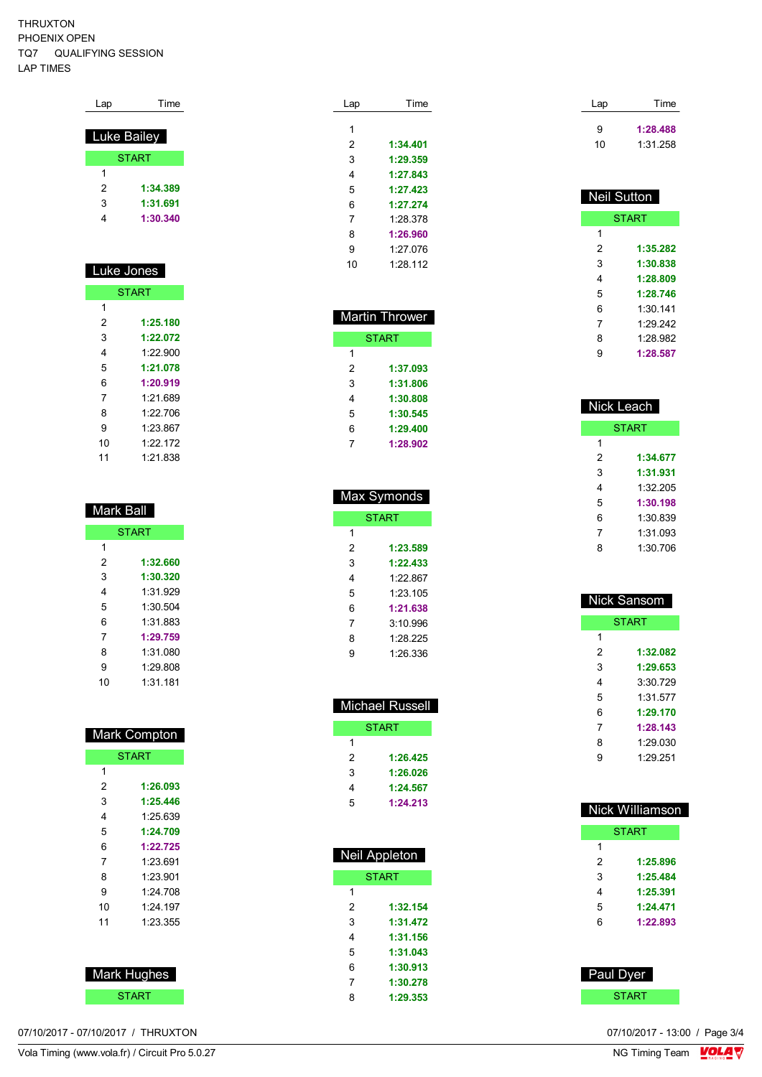| Lap         | Time         |
|-------------|--------------|
|             |              |
| Luke Bailey |              |
|             | <b>START</b> |
| 1           |              |
| 2           | 1:34.389     |
| 3           | 1:31.691     |
|             | 1:30.340     |

#### Luke Jones START **1:25.180 1:22.072** 1:22.900 **1:21.078**

| 5  | 1:21.078 |
|----|----------|
| 6  | 1:20.919 |
| 7  | 1:21.689 |
| 8  | 1.22706  |
| Й  | 1:23.867 |
| 10 | 1.22 172 |
| 11 | 1:21.838 |

| Mark Ball |              |
|-----------|--------------|
|           | <b>START</b> |
| 1         |              |
| 2         | 1:32.660     |
| 3         | 1:30.320     |
| 4         | 1:31 929     |
| 5         | 1.30.504     |
| 6         | 1:31 883     |
| 7         | 1:29.759     |
| 8         | 1:31 080     |
| 9         | 1:29.808     |
| 10        | 1:31.181     |

| Mark Compton |              |  |
|--------------|--------------|--|
|              | <b>START</b> |  |
| 1            |              |  |
| 2            | 1:26.093     |  |
| 3            | 1:25.446     |  |
| 4            | 1:25.639     |  |
| 5            | 1:24.709     |  |
| 6            | 1:22.725     |  |
| 7            | 1:23.691     |  |
| 8            | 1.23.901     |  |
| 9            | 1.24 708     |  |
| 10           | 1.24 197     |  |
| 11           | 1:23.355     |  |
|              |              |  |
|              |              |  |

 Mark Hughes **START** 

| Lap | Time     |
|-----|----------|
|     |          |
| 1   |          |
| 2   | 1:34.401 |
| 3   | 1:29.359 |
| 4   | 1:27.843 |
| 5   | 1:27.423 |
| 6   | 1:27.274 |
| 7   | 1.28.378 |
| 8   | 1:26.960 |
| 9   | 1:27.076 |
| 10  | 1:28.112 |

|   | Martin Thrower |
|---|----------------|
|   | <b>START</b>   |
| 1 |                |
| 2 | 1:37.093       |
| 3 | 1:31.806       |
| 4 | 1:30.808       |
| 5 | 1:30.545       |
| 6 | 1:29.400       |
| 7 | 1:28.902       |
|   |                |

| Max Symonds |              |  |
|-------------|--------------|--|
|             | <b>START</b> |  |
| 1           |              |  |
| 2           | 1:23.589     |  |
| 3           | 1:22.433     |  |
| 4           | 1.22867      |  |
| 5           | 1.23 105     |  |
| 6           | 1:21.638     |  |
| 7           | 3.10996      |  |
| 8           | 1.28.225     |  |
| g           | 1.26336      |  |
|             |              |  |

| Michael Russell |          |  |
|-----------------|----------|--|
| <b>START</b>    |          |  |
| 1               |          |  |
| 2               | 1:26.425 |  |
| 3               | 1:26.026 |  |
| 4               | 1:24.567 |  |
| 5               | 1:24.213 |  |

| Neil Appleton |  |  |
|---------------|--|--|
| <b>START</b>  |  |  |
|               |  |  |
| 1:32.154      |  |  |
| 1:31.472      |  |  |
| 1:31.156      |  |  |
| 1:31.043      |  |  |
| 1:30.913      |  |  |
| 1:30.278      |  |  |
| 1:29.353      |  |  |
|               |  |  |

| Lap | Time     |
|-----|----------|
| 9   | 1:28.488 |
| 10  | 1:31.258 |

| <b>Neil Sutton</b> |              |  |  |
|--------------------|--------------|--|--|
|                    | <b>START</b> |  |  |
| 1                  |              |  |  |
| 2                  | 1:35.282     |  |  |
| 3                  | 1:30.838     |  |  |
| 4                  | 1:28.809     |  |  |
| 5                  | 1:28.746     |  |  |
| 6                  | 1:30.141     |  |  |
| 7                  | 1.29.242     |  |  |
| 8                  | 1.28.982     |  |  |
| 9                  | 1:28.587     |  |  |

| Nick Leach   |          |  |
|--------------|----------|--|
| <b>START</b> |          |  |
| 1            |          |  |
| 2            | 1:34.677 |  |
| 3            | 1:31.931 |  |
| 4            | 1:32.205 |  |
| 5            | 1:30.198 |  |
| 6            | 1:30 839 |  |
| 7            | 1:31 093 |  |
| ឧ            | 1:30.706 |  |

| <b>Nick Sansom</b> |          |  |
|--------------------|----------|--|
| <b>START</b>       |          |  |
| 1                  |          |  |
| 2                  | 1:32.082 |  |
| 3                  | 1:29.653 |  |
| 4                  | 3:30 729 |  |
| 5                  | 1:31.577 |  |
| 6                  | 1:29.170 |  |
| 7                  | 1:28.143 |  |
| 8                  | 1:29.030 |  |
| 9                  | 1.29 251 |  |
|                    |          |  |

|   | <b>Nick Williamson</b> |
|---|------------------------|
|   | <b>START</b>           |
| 1 |                        |
| 2 | 1:25.896               |
| 3 | 1:25.484               |
| 4 | 1:25.391               |
| 5 | 1:24.471               |
| 6 | 1:22.893               |
|   |                        |
|   |                        |

 Paul Dyer START **START**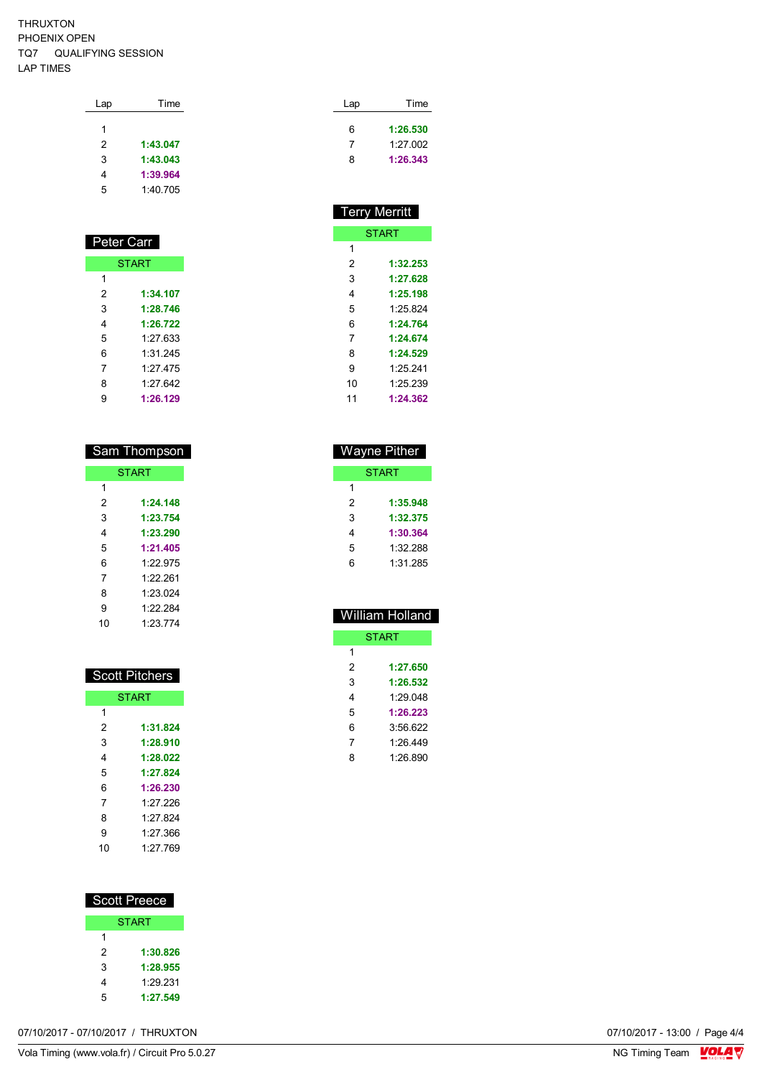| Lap | Time     |  |
|-----|----------|--|
|     |          |  |
| 1   |          |  |
| 2   | 1:43.047 |  |
| 3   | 1:43.043 |  |
| 4   | 1:39.964 |  |
| 5   | 1:40 705 |  |
|     |          |  |

| Peter Carr   |          |  |
|--------------|----------|--|
| <b>START</b> |          |  |
|              |          |  |
| 1            |          |  |
| 2            | 1:34.107 |  |
| 3            | 1:28.746 |  |
| 4            | 1:26.722 |  |
| 5            | 1.27 633 |  |
| 6            | 1:31.245 |  |
| 7            | 1.27 475 |  |
| 8            | 1:27.642 |  |
| 9            | 1:26.129 |  |

| <b>Sam Thompson</b> |          |  |
|---------------------|----------|--|
| <b>START</b>        |          |  |
| 1                   |          |  |
| 2                   | 1:24.148 |  |
| 3                   | 1:23.754 |  |
| 4                   | 1:23.290 |  |
| 5                   | 1:21.405 |  |
| 6                   | 1.22 975 |  |
| 7                   | 1.22.261 |  |
| 8                   | 1:23.024 |  |
| 9                   | 1.22.284 |  |
| 10                  | 1.23 774 |  |

| <b>Scott Pitchers</b> |          |  |
|-----------------------|----------|--|
| <b>START</b>          |          |  |
| 1                     |          |  |
| 2                     | 1:31.824 |  |
| 3                     | 1:28.910 |  |
| 4                     | 1:28.022 |  |
| 5                     | 1:27.824 |  |
| 6                     | 1:26.230 |  |
| 7                     | 1.27 226 |  |
| 8                     | 1.27824  |  |
| 9                     | 1.27.366 |  |
| 10                    | 1.27 769 |  |
|                       |          |  |

| <b>Scott Preece</b> |          |
|---------------------|----------|
| <b>START</b>        |          |
| 1                   |          |
| 2                   | 1:30.826 |
| 3                   | 1:28.955 |
| 4                   | 1.29.231 |
| 5                   | 1:27.549 |

| Lap | Time     |
|-----|----------|
| 6   | 1:26.530 |
|     | 1:27.002 |
| 8   | 1:26.343 |
|     |          |

| <b>Terry Merritt</b> |          |  |  |  |
|----------------------|----------|--|--|--|
| <b>START</b>         |          |  |  |  |
| 1                    |          |  |  |  |
| 2                    | 1:32.253 |  |  |  |
| 3                    | 1:27.628 |  |  |  |
| 4                    | 1:25.198 |  |  |  |
| 5                    | 1:25.824 |  |  |  |
| 6                    | 1:24.764 |  |  |  |
| 7                    | 1:24.674 |  |  |  |
| 8                    | 1:24.529 |  |  |  |
| 9                    | 1.25.241 |  |  |  |
| 10                   | 1:25.239 |  |  |  |
| 11                   | 1:24.362 |  |  |  |
|                      |          |  |  |  |

| <b>Wayne Pither</b> |          |  |  |  |
|---------------------|----------|--|--|--|
| <b>START</b>        |          |  |  |  |
| 1                   |          |  |  |  |
| 2                   | 1:35.948 |  |  |  |
| 3                   | 1:32.375 |  |  |  |
| 4                   | 1:30.364 |  |  |  |
| 5                   | 1:32.288 |  |  |  |
| հ                   | 1:31 285 |  |  |  |

| <b>William Holland</b> |  |  |  |  |
|------------------------|--|--|--|--|
| <b>START</b>           |  |  |  |  |
|                        |  |  |  |  |
| 1:27.650               |  |  |  |  |
| 1:26.532               |  |  |  |  |
| 1.29048                |  |  |  |  |
| 1:26.223               |  |  |  |  |
| 3:56.622               |  |  |  |  |
| 1.26.449               |  |  |  |  |
| 1:26.890               |  |  |  |  |
|                        |  |  |  |  |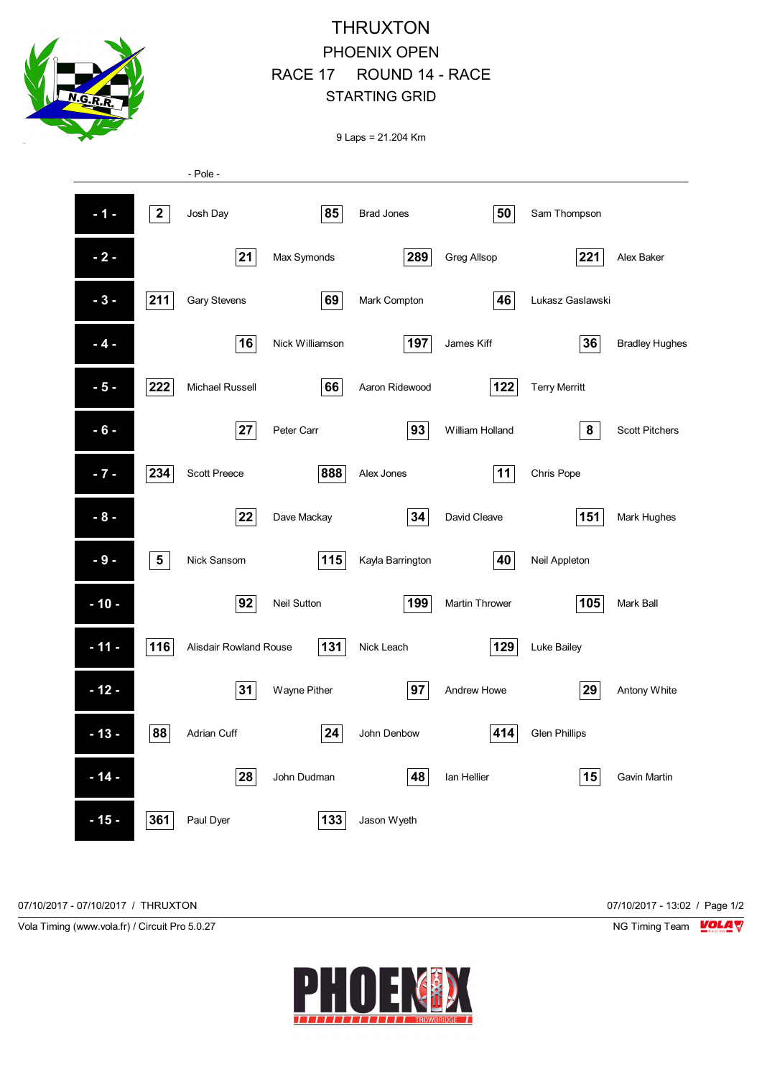

## THRUXTON PHOENIX OPEN RACE 17 ROUND 14 - RACE STARTING GRID

9 Laps = 21.204 Km

|        |                 | - Pole -               |                    |                   |                 |                      |                       |
|--------|-----------------|------------------------|--------------------|-------------------|-----------------|----------------------|-----------------------|
| $-1-$  | $\mathbf{2}$    | Josh Day               | 85                 | <b>Brad Jones</b> | 50              | Sam Thompson         |                       |
| $-2-$  |                 | 21                     | Max Symonds        | 289               | Greg Allsop     | 221                  | Alex Baker            |
| $-3-$  | 211             | Gary Stevens           | 69                 | Mark Compton      | 46              | Lukasz Gaslawski     |                       |
| $-4-$  |                 | 16                     | Nick Williamson    | 197               | James Kiff      | 36                   | <b>Bradley Hughes</b> |
| $-5-$  | 222             | Michael Russell        | 66                 | Aaron Ridewood    | 122             | <b>Terry Merritt</b> |                       |
| $-6-$  |                 | 27                     | Peter Carr         | 93                | William Holland | 8                    | <b>Scott Pitchers</b> |
| $-7-$  | 234             | <b>Scott Preece</b>    | 888                | Alex Jones        | 11              | Chris Pope           |                       |
| $-8-$  |                 | 22                     | Dave Mackay        | 34                | David Cleave    | 151                  | Mark Hughes           |
| $-9-$  | $5\phantom{.0}$ | Nick Sansom            | 115                | Kayla Barrington  | 40              | Neil Appleton        |                       |
| $-10-$ |                 | 92                     | <b>Neil Sutton</b> | 199               | Martin Thrower  | 105                  | Mark Ball             |
| $-11-$ | 116             | Alisdair Rowland Rouse | 131                | Nick Leach        | 129             | Luke Bailey          |                       |
| $-12-$ |                 | 31                     | Wayne Pither       | 97                | Andrew Howe     | 29                   | Antony White          |
| $-13-$ | 88              | <b>Adrian Cuff</b>     | 24                 | John Denbow       | 414             | <b>Glen Phillips</b> |                       |
| $-14-$ |                 | 28                     | John Dudman        | 48                | Ian Hellier     | 15                   | Gavin Martin          |
| $-15-$ | 361             | Paul Dyer              | 133                | Jason Wyeth       |                 |                      |                       |

07/10/2017 - 07/10/2017 / THRUXTON 07/10/2017 - 13:02 / Page 1/2

Vola Timing (www.vola.fr) / Circuit Pro 5.0.27 NG Timing Team VOLA V

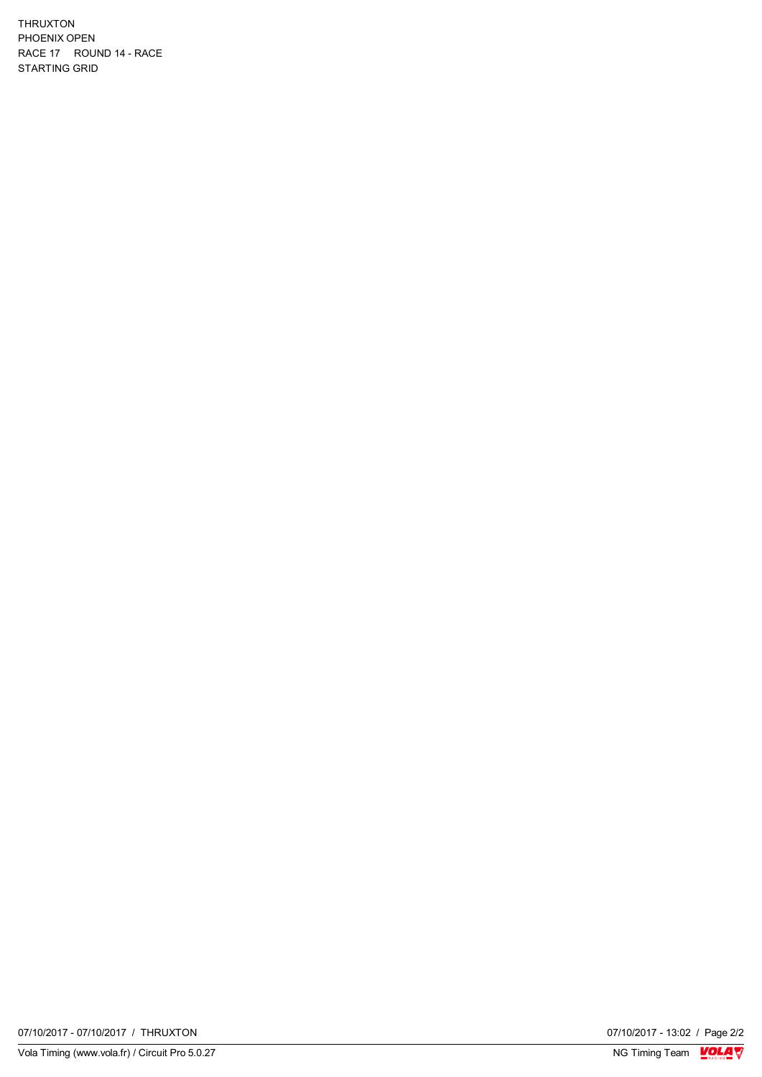THRUXTON PHOENIX OPEN RACE 17 ROUND 14 - RACE STARTING GRID

07/10/2017 - 13:02 / Page 2/2<br>NG Timing Team  $\sqrt{\frac{1}{2}}$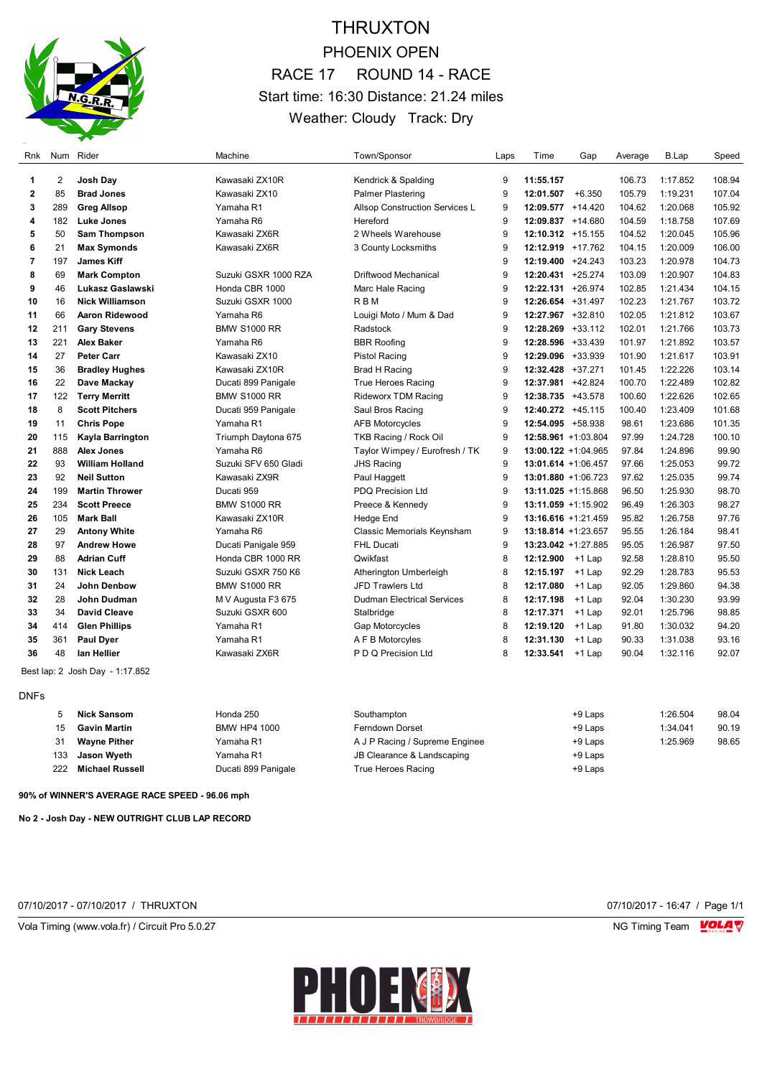

## THRUXTON PHOENIX OPEN RACE 17 ROUND 14 - RACE Start time: 16:30 Distance: 21.24 miles Weather: Cloudy Track: Dry

| <b>Rnk</b>   | Num            | Rider                           | Machine              | Town/Sponsor                      | Laps | Time                   | Gap       | Average | B.Lap    | Speed  |
|--------------|----------------|---------------------------------|----------------------|-----------------------------------|------|------------------------|-----------|---------|----------|--------|
| 1            | $\overline{2}$ | Josh Day                        | Kawasaki ZX10R       | Kendrick & Spalding               | 9    | 11:55.157              |           | 106.73  | 1:17.852 | 108.94 |
| $\mathbf{2}$ | 85             | <b>Brad Jones</b>               | Kawasaki ZX10        | <b>Palmer Plastering</b>          | 9    | 12:01.507              | $+6.350$  | 105.79  | 1:19.231 | 107.04 |
| 3            | 289            | <b>Greg Allsop</b>              | Yamaha R1            | Allsop Construction Services L    | 9    | 12:09.577 +14.420      |           | 104.62  | 1:20.068 | 105.92 |
| 4            | 182            | <b>Luke Jones</b>               | Yamaha R6            | Hereford                          | 9    | 12:09.837 +14.680      |           | 104.59  | 1:18.758 | 107.69 |
| 5            | 50             | Sam Thompson                    | Kawasaki ZX6R        | 2 Wheels Warehouse                | 9    | 12:10.312 +15.155      |           | 104.52  | 1:20.045 | 105.96 |
| 6            | 21             | <b>Max Symonds</b>              | Kawasaki ZX6R        | 3 County Locksmiths               | 9    | 12:12.919 +17.762      |           | 104.15  | 1:20.009 | 106.00 |
| 7            | 197            | <b>James Kiff</b>               |                      |                                   | 9    | 12:19.400              | $+24.243$ | 103.23  | 1:20.978 | 104.73 |
| 8            | 69             | <b>Mark Compton</b>             | Suzuki GSXR 1000 RZA | <b>Driftwood Mechanical</b>       | 9    | 12:20.431              | $+25.274$ | 103.09  | 1:20.907 | 104.83 |
| 9            | 46             | Lukasz Gaslawski                | Honda CBR 1000       | Marc Hale Racing                  | 9    | 12:22.131              | $+26.974$ | 102.85  | 1:21.434 | 104.15 |
| 10           | 16             | <b>Nick Williamson</b>          | Suzuki GSXR 1000     | <b>RBM</b>                        | 9    | 12:26.654 +31.497      |           | 102.23  | 1:21.767 | 103.72 |
| 11           | 66             | Aaron Ridewood                  | Yamaha R6            | Louigi Moto / Mum & Dad           | 9    | 12:27.967 +32.810      |           | 102.05  | 1:21.812 | 103.67 |
| 12           | 211            | <b>Gary Stevens</b>             | <b>BMW S1000 RR</b>  | Radstock                          | 9    | 12:28.269 +33.112      |           | 102.01  | 1:21.766 | 103.73 |
| 13           | 221            | <b>Alex Baker</b>               | Yamaha R6            | <b>BBR Roofing</b>                | 9    | 12:28.596 +33.439      |           | 101.97  | 1:21.892 | 103.57 |
| 14           | 27             | <b>Peter Carr</b>               | Kawasaki ZX10        | <b>Pistol Racing</b>              | 9    | 12:29.096 +33.939      |           | 101.90  | 1:21.617 | 103.91 |
| 15           | 36             | <b>Bradley Hughes</b>           | Kawasaki ZX10R       | Brad H Racinq                     | 9    | 12:32.428 +37.271      |           | 101.45  | 1:22.226 | 103.14 |
| 16           | 22             | Dave Mackay                     | Ducati 899 Panigale  | <b>True Heroes Racing</b>         | 9    | 12:37.981 +42.824      |           | 100.70  | 1:22.489 | 102.82 |
| 17           | 122            | <b>Terry Merritt</b>            | <b>BMW S1000 RR</b>  | <b>Rideworx TDM Racing</b>        | 9    | 12:38.735 +43.578      |           | 100.60  | 1:22.626 | 102.65 |
| 18           | 8              | <b>Scott Pitchers</b>           | Ducati 959 Panigale  | Saul Bros Racing                  | 9    | 12:40.272 +45.115      |           | 100.40  | 1:23.409 | 101.68 |
| 19           | 11             | <b>Chris Pope</b>               | Yamaha R1            | <b>AFB Motorcycles</b>            | 9    | 12:54.095 +58.938      |           | 98.61   | 1:23.686 | 101.35 |
| 20           | 115            | Kayla Barrington                | Triumph Daytona 675  | TKB Racing / Rock Oil             | 9    | 12:58.961 +1:03.804    |           | 97.99   | 1:24.728 | 100.10 |
| 21           | 888            | <b>Alex Jones</b>               | Yamaha R6            | Taylor Wimpey / Eurofresh / TK    | 9    | 13:00.122 +1:04.965    |           | 97.84   | 1:24.896 | 99.90  |
| 22           | 93             | <b>William Holland</b>          | Suzuki SFV 650 Gladi | <b>JHS Racing</b>                 | 9    | 13:01.614 +1:06.457    |           | 97.66   | 1:25.053 | 99.72  |
| 23           | 92             | <b>Neil Sutton</b>              | Kawasaki ZX9R        | Paul Haggett                      | 9    | 13:01.880 +1:06.723    |           | 97.62   | 1:25.035 | 99.74  |
| 24           | 199            | <b>Martin Thrower</b>           | Ducati 959           | <b>PDQ Precision Ltd</b>          | 9    | $13:11.025 +1:15.868$  |           | 96.50   | 1:25.930 | 98.70  |
| 25           | 234            | <b>Scott Preece</b>             | <b>BMW S1000 RR</b>  | Preece & Kennedy                  | 9    | $13:11.059 + 1:15.902$ |           | 96.49   | 1:26.303 | 98.27  |
| 26           | 105            | <b>Mark Ball</b>                | Kawasaki ZX10R       | Hedge End                         | 9    | 13:16.616 +1:21.459    |           | 95.82   | 1:26.758 | 97.76  |
| 27           | 29             | <b>Antony White</b>             | Yamaha R6            | Classic Memorials Keynsham        | 9    | 13:18.814 +1:23.657    |           | 95.55   | 1:26.184 | 98.41  |
| 28           | 97             | <b>Andrew Howe</b>              | Ducati Panigale 959  | <b>FHL Ducati</b>                 | 9    | 13:23.042 +1:27.885    |           | 95.05   | 1:26.987 | 97.50  |
| 29           | 88             | <b>Adrian Cuff</b>              | Honda CBR 1000 RR    | Qwikfast                          | 8    | 12:12.900              | $+1$ Lap  | 92.58   | 1:28.810 | 95.50  |
| 30           | 131            | <b>Nick Leach</b>               | Suzuki GSXR 750 K6   | Atherington Umberleigh            | 8    | 12:15.197              | $+1$ Lap  | 92.29   | 1:28.783 | 95.53  |
| 31           | 24             | John Denbow                     | <b>BMW S1000 RR</b>  | <b>JFD Trawlers Ltd</b>           | 8    | 12:17.080              | $+1$ Lap  | 92.05   | 1:29.860 | 94.38  |
| 32           | 28             | John Dudman                     | M V Augusta F3 675   | <b>Dudman Electrical Services</b> | 8    | 12:17.198              | $+1$ Lap  | 92.04   | 1:30.230 | 93.99  |
| 33           | 34             | <b>David Cleave</b>             | Suzuki GSXR 600      | Stalbridge                        | 8    | 12:17.371              | +1 Lap    | 92.01   | 1:25.796 | 98.85  |
| 34           | 414            | <b>Glen Phillips</b>            | Yamaha R1            | Gap Motorcycles                   | 8    | 12:19.120              | $+1$ Lap  | 91.80   | 1:30.032 | 94.20  |
| 35           | 361            | <b>Paul Dyer</b>                | Yamaha R1            | A F B Motorcyles                  | 8    | 12:31.130              | $+1$ Lap  | 90.33   | 1:31.038 | 93.16  |
| 36           | 48             | lan Hellier                     | Kawasaki ZX6R        | P D Q Precision Ltd               | 8    | 12:33.541              | $+1$ Lap  | 90.04   | 1:32.116 | 92.07  |
|              |                | Best lap: 2 Josh Day - 1:17.852 |                      |                                   |      |                        |           |         |          |        |

DNFs

|     | <b>Nick Sansom</b>     | Honda 250           | Southampton                    | +9 Laps | 1:26.504 | 98.04 |
|-----|------------------------|---------------------|--------------------------------|---------|----------|-------|
|     | <b>Gavin Martin</b>    | <b>BMW HP4 1000</b> | <b>Ferndown Dorset</b>         | +9 Laps | 1:34.041 | 90.19 |
| 31  | <b>Wayne Pither</b>    | Yamaha R1           | A J P Racing / Supreme Enginee | +9 Laps | 1:25.969 | 98.65 |
| 133 | Jason Wyeth            | Yamaha R1           | JB Clearance & Landscaping     | +9 Laps |          |       |
| 222 | <b>Michael Russell</b> | Ducati 899 Panigale | True Heroes Racing             | +9 Laps |          |       |

#### **90% of WINNER'S AVERAGE RACE SPEED - 96.06 mph**

**No 2 - Josh Day - NEW OUTRIGHT CLUB LAP RECORD**

07/10/2017 - 07/10/2017 / THRUXTON 07/10/2017 - 16:47 / Page 1/1





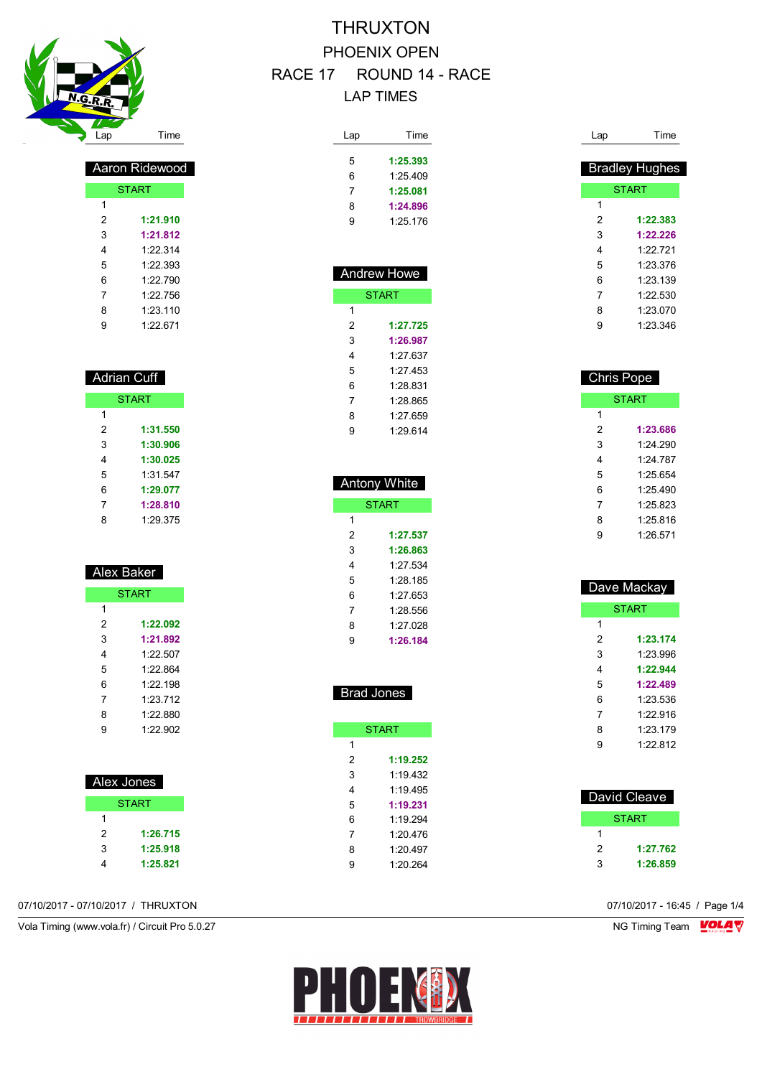

| Aaron Ridew <u>ood</u> |          |  |  |  |
|------------------------|----------|--|--|--|
| <b>START</b>           |          |  |  |  |
| 1                      |          |  |  |  |
| 2                      | 1:21.910 |  |  |  |
| 3                      | 1:21.812 |  |  |  |
| 4                      | 1.22314  |  |  |  |
| 5                      | 1.22.393 |  |  |  |
| 6                      | 1.22790  |  |  |  |
| 7                      | 1.22 756 |  |  |  |
| 8                      | 1.23 110 |  |  |  |
| 9                      | 1.22 671 |  |  |  |

| Adrian Cuff  |          |  |  |  |  |
|--------------|----------|--|--|--|--|
| <b>START</b> |          |  |  |  |  |
| 1            |          |  |  |  |  |
| 2            | 1:31.550 |  |  |  |  |
| 3            | 1:30.906 |  |  |  |  |
| 4            | 1:30.025 |  |  |  |  |
| 5            | 1:31.547 |  |  |  |  |
| 6            | 1:29.077 |  |  |  |  |
| 7            | 1:28.810 |  |  |  |  |
| 8            | 1:29.375 |  |  |  |  |

| Alex Baker |              |  |  |
|------------|--------------|--|--|
|            | <b>START</b> |  |  |
| 1          |              |  |  |
| 2          | 1:22.092     |  |  |
| 3          | 1:21.892     |  |  |
| 4          | 1.22 507     |  |  |
| 5          | 1.22864      |  |  |
| 6          | 1:22.198     |  |  |
| 7          | 1.23 712     |  |  |
| 8          | 1.22.880     |  |  |
| 9          | 1.22.902     |  |  |
|            |              |  |  |
|            |              |  |  |

| Alex Jones   |          |  |  |  |
|--------------|----------|--|--|--|
| <b>START</b> |          |  |  |  |
| 1            |          |  |  |  |
| 2            | 1:26.715 |  |  |  |
| 3            | 1:25.918 |  |  |  |
|              | 1:25.821 |  |  |  |

### 07/10/2017 - 07/10/2017 / THRUXTON 07/10/2017 - 16:45 / Page 1/4

Vola Timing (www.vola.fr) / Circuit Pro 5.0.27 NG Timing Team MC Timing Team MC Timing Team M

## THRUXTON PHOENIX OPEN RACE 17 ROUND 14 - RACE LAP TIMES

| Lap | Time     |
|-----|----------|
|     |          |
| 5   | 1:25.393 |
| 6   | 1.25.409 |
| 7   | 1:25.081 |
| 8   | 1:24.896 |
| 9   | 1:25.176 |
|     |          |

| <b>Andrew Howe</b> |              |  |
|--------------------|--------------|--|
|                    | <b>START</b> |  |
| 1                  |              |  |
| 2                  | 1:27.725     |  |
| 3                  | 1:26.987     |  |
| 4                  | 1.27 637     |  |
| 5                  | 1.27 453     |  |
| 6                  | 1:28 831     |  |
| 7                  | 1.28 865     |  |
| 8                  | 1:27.659     |  |
| 9                  | 1.29.614     |  |

| Antony White |              |  |
|--------------|--------------|--|
|              | <b>START</b> |  |
| 1            |              |  |
| 2            | 1:27.537     |  |
| 3            | 1:26.863     |  |
| 4            | 1.27 534     |  |
| 5            | 1.28 185     |  |
| 6            | 1.27 653     |  |
| 7            | 1:28.556     |  |
| 8            | 1.27 028     |  |
| 9            | 1:26.184     |  |

| <b>Brad Jones</b> |  |  |
|-------------------|--|--|
|                   |  |  |

|   | <b>START</b> |
|---|--------------|
| 1 |              |
| 2 | 1:19.252     |
| 3 | 1.19432      |
| 4 | 1:19 495     |
| 5 | 1:19.231     |
| 6 | 1.19294      |
| 7 | 1:20.476     |
| 8 | 1.20 497     |
| 9 | 1.20.264     |
|   |              |

| Lap | Time                  |
|-----|-----------------------|
|     | <b>Bradley Hughes</b> |
|     | <b>START</b>          |
| 1   |                       |
| 2   | 1:22.383              |
| 3   | 1:22.226              |
| 4   | 1.22 721              |
| 5   | 1.23.376              |
| 6   | 1.23 139              |
| 7   | 1.22.530              |
| 8   | 1:23.070              |
| 9   | 1:23.346              |

| <b>Chris Pope</b> |              |  |  |
|-------------------|--------------|--|--|
|                   | <b>START</b> |  |  |
| 1                 |              |  |  |
| 2                 | 1:23.686     |  |  |
| 3                 | 1:24.290     |  |  |
| 4                 | 1.24 787     |  |  |
| 5                 | 1.25 654     |  |  |
| 6                 | 1.25490      |  |  |
| 7                 | 1:25.823     |  |  |
| 8                 | 1.25.816     |  |  |
| 9                 | 1.26.571     |  |  |

| Dave Mackay |              |  |
|-------------|--------------|--|
|             | <b>START</b> |  |
| 1           |              |  |
| 2           | 1:23.174     |  |
| 3           | 1.23.996     |  |
| 4           | 1:22.944     |  |
| 5           | 1:22.489     |  |
| 6           | 1:23.536     |  |
| 7           | 1.22.916     |  |
| 8           | 1.23 179     |  |
| 9           | 1.22812      |  |
|             |              |  |

| David Cleave |          |  |
|--------------|----------|--|
|              | START    |  |
|              |          |  |
| 2            | 1:27.762 |  |
| З            | 1:26.859 |  |

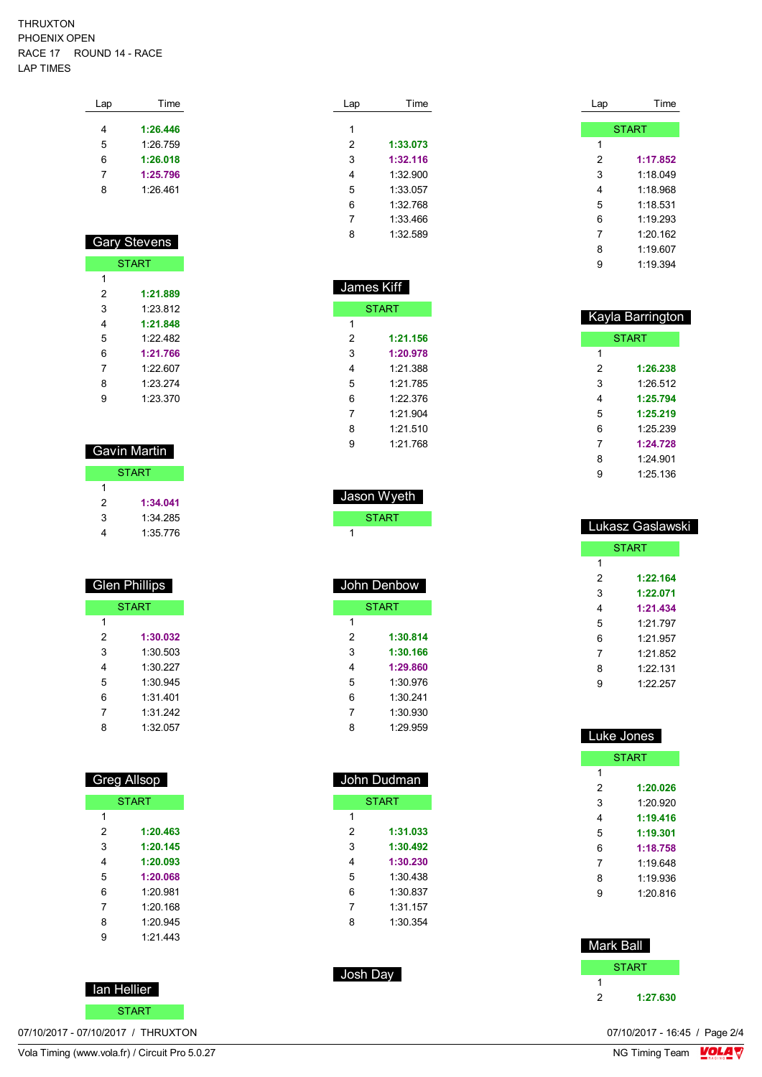#### THRUXTON PHOENIX OPEN RACE 17 ROUND 14 - RACE LAP TIMES

| Lap | Time     |
|-----|----------|
|     |          |
| 4   | 1:26.446 |
| 5   | 1:26.759 |
| 6   | 1:26.018 |
| 7   | 1:25.796 |
| 8   | 1:26.461 |
|     |          |

### Gary Stevens

|   | START    |
|---|----------|
| 1 |          |
| 2 | 1:21.889 |
| 3 | 1.23812  |
| 4 | 1:21.848 |
| 5 | 1.22 482 |
| 6 | 1:21.766 |
| 7 | 1.22607  |
| 8 | 1.23.274 |
| 9 | 1:23.370 |

### Gavin Martin

|   | <b>START</b> |
|---|--------------|
| 1 |              |
| 2 | 1:34.041     |
| 3 | 1:34 285     |
| 4 | 1:35.776     |

### Glen Phillips

| <b>START</b> |          |  |
|--------------|----------|--|
| 1            |          |  |
| 2            | 1:30.032 |  |
| 3            | 1:30.503 |  |
| 4            | 1:30.227 |  |
| 5            | 1:30.945 |  |
| 6            | 1:31 401 |  |
| 7            | 1:31 242 |  |
| 8            | 1:32 057 |  |

### Greg Allsop

|   | <b>START</b> |
|---|--------------|
| 1 |              |
| 2 | 1:20.463     |
| 3 | 1:20.145     |
| 4 | 1:20.093     |
| 5 | 1:20.068     |
| 6 | 1.20981      |
| 7 | 1:20.168     |
| 8 | 1:20.945     |
| 9 | 1.21 443     |

START

| . Ian Hellier |
|---------------|
|---------------|

| Lap | Time     |
|-----|----------|
|     |          |
| 1   |          |
| 2   | 1:33.073 |
| 3   | 1:32.116 |
| 4   | 1:32.900 |
| 5   | 1:33.057 |
| 6   | 1:32768  |
| 7   | 1:33 466 |
| 8   | 1:32 589 |
|     |          |

| James Kiff   |  |  |
|--------------|--|--|
| <b>START</b> |  |  |
|              |  |  |
| 1:21.156     |  |  |
| 1:20.978     |  |  |
| 1:21.388     |  |  |
| 1:21.785     |  |  |
| 1.22.376     |  |  |
| 1.21904      |  |  |
| 1:21.510     |  |  |
| 1.21768      |  |  |
|              |  |  |

 Jason Wyeth **START** 

 John Denbow START

> **1:30.814 1:30.166 1:29.860** 1:30.976 1:30.241 1:30.930 1:29.959

 John Dudman **START** 

> **1:31.033 1:30.492 1:30.230** 1:30.438 1:30.837 1:31.157 1:30.354

Josh Day

| Lap | Time         |
|-----|--------------|
|     |              |
|     | <b>START</b> |
| 1   |              |
| 2   | 1:17.852     |
| 3   | 1:18.049     |
| 4   | 1.18968      |
| 5   | 1:18.531     |
| 6   | 1.19293      |
| 7   | 1:20.162     |
| 8   | 1.19607      |
| g   | 1:19.394     |

| Kayla Barrington |              |  |
|------------------|--------------|--|
|                  | <b>START</b> |  |
| 1                |              |  |
| 2                | 1:26.238     |  |
| 3                | 1.26.512     |  |
| 4                | 1:25.794     |  |
| 5                | 1:25.219     |  |
| 6                | 1.25.239     |  |
| 7                | 1:24.728     |  |
| 8                | 1:24 901     |  |
| 9                | 1:25.136     |  |

| Lukasz Gaslawski |              |  |
|------------------|--------------|--|
|                  | <b>START</b> |  |
| 1                |              |  |
| 2                | 1:22.164     |  |
| 3                | 1:22.071     |  |
| 4                | 1:21.434     |  |
| 5                | 1.21 797     |  |
| 6                | 1.21957      |  |
| 7                | 1.21852      |  |
| 8                | 1.22 131     |  |
| 9                | 1.22.257     |  |

| <b>Luke Jones</b> |              |  |
|-------------------|--------------|--|
|                   | <b>START</b> |  |
| 1                 |              |  |
| 2                 | 1:20.026     |  |
| 3                 | 1.20.920     |  |
| 4                 | 1:19.416     |  |
| 5                 | 1:19.301     |  |
| 6                 | 1:18.758     |  |
| 7                 | 1:19 648     |  |
| 8                 | 1:19.936     |  |
| 9                 | 1:20.816     |  |
|                   |              |  |

### Mark Ball **START 1:27.630**

Vola Timing (www.vola.fr) / Circuit Pro 5.0.27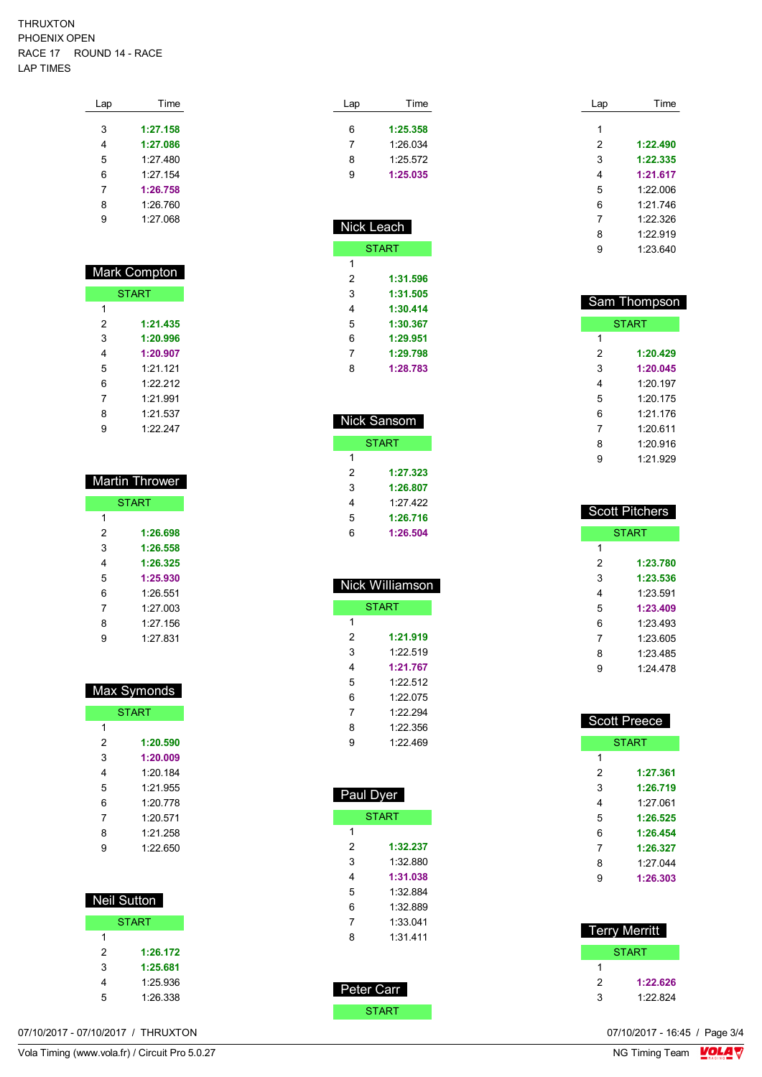#### THRUXTON PHOENIX OPEN RACE 17 ROUND 14 - RACE LAP TIMES

| Lap | Time     |
|-----|----------|
|     |          |
| 3   | 1:27.158 |
| 4   | 1:27.086 |
| 5   | 1.27480  |
| 6   | 1.27154  |
| 7   | 1:26.758 |
| 8   | 1:26.760 |
| g   | 1:27.068 |
|     |          |

|   | Mark Compton |
|---|--------------|
|   | <b>START</b> |
| 1 |              |
| 2 | 1:21.435     |
| 3 | 1:20.996     |
| 4 | 1:20.907     |
| 5 | 1.21 121     |
| 6 | 1.22.212     |
| 7 | 1.21991      |
| 8 | 1:21.537     |
| 9 | 1.22.247     |

| <b>Martin Thrower</b> |              |  |
|-----------------------|--------------|--|
|                       | <b>START</b> |  |
| 1                     |              |  |
| 2                     | 1:26.698     |  |
| 3                     | 1:26.558     |  |
| 4                     | 1:26.325     |  |
| 5                     | 1:25.930     |  |
| 6                     | 1.26.551     |  |
| 7                     | 1.27 003     |  |
| 8                     | 1:27.156     |  |
| 9                     | 1.27 831     |  |

| Max Symonds  |          |  |  |  |  |  |  |  |  |  |  |
|--------------|----------|--|--|--|--|--|--|--|--|--|--|
| <b>START</b> |          |  |  |  |  |  |  |  |  |  |  |
| 1            |          |  |  |  |  |  |  |  |  |  |  |
| 2            | 1:20.590 |  |  |  |  |  |  |  |  |  |  |
| 3            | 1:20.009 |  |  |  |  |  |  |  |  |  |  |
| 4            | 1:20.184 |  |  |  |  |  |  |  |  |  |  |
| 5            | 1.21.955 |  |  |  |  |  |  |  |  |  |  |
| 6            | 1.20 778 |  |  |  |  |  |  |  |  |  |  |
| 7            | 1.20.571 |  |  |  |  |  |  |  |  |  |  |
| 8            | 1:21.258 |  |  |  |  |  |  |  |  |  |  |
| 9            | 1.22 650 |  |  |  |  |  |  |  |  |  |  |

| Neil Sutton |              |
|-------------|--------------|
|             | <b>START</b> |
| 1           |              |
| 2           | 1:26.172     |
| 3           | 1:25.681     |
| 4           | 1.25 936     |
| 5           | 1:26.338     |

| 6<br>$\overline{7}$<br>8<br>9                             | 1:25.358<br>1:26.034<br>1:25.572<br>1:25.035                                                 |
|-----------------------------------------------------------|----------------------------------------------------------------------------------------------|
|                                                           | Nick Leach                                                                                   |
|                                                           | <b>START</b>                                                                                 |
| 1<br>2<br>3<br>4<br>5<br>6<br>7<br>8                      | 1:31.596<br>1:31.505<br>1:30.414<br>1:30.367<br>1:29.951<br>1:29.798<br>1:28.783             |
|                                                           | Nick Sansom                                                                                  |
|                                                           | <b>START</b>                                                                                 |
| 1<br>2<br>3<br>4<br>5<br>6                                | 1:27.323<br>1:26.807<br>1:27.422<br>1:26.716<br>1:26.504                                     |
|                                                           | Nick Williamson                                                                              |
|                                                           | <b>START</b>                                                                                 |
| 1<br>2<br>3<br>4<br>5<br>6<br>7<br>8<br>9                 | 1:21.919<br>1:22.519<br>1:21.767<br>1:22.512<br>1:22.075<br>1:22.294<br>1:22.356<br>1:22.469 |
| Paul Dyer                                                 | <b>START</b>                                                                                 |
| 1<br>$\overline{c}$<br>3<br>4<br>5<br>6<br>$\overline{7}$ | 1:32.237<br>1:32.880<br>1:31.038<br>1:32.884<br>1:32.889<br>1:33.041                         |

START

Lap Time

| Lap | Time     |
|-----|----------|
| 1   |          |
| 2   | 1:22.490 |
| 3   | 1:22.335 |
| 4   | 1:21.617 |
| 5   | 1.22.006 |
| 6   | 1.21 746 |
| 7   | 1.22.326 |
| 8   | 1.22919  |
| 9   | 1.23.640 |
|     |          |

| Sam Thompson |              |  |  |  |  |  |  |  |  |  |  |
|--------------|--------------|--|--|--|--|--|--|--|--|--|--|
|              | <b>START</b> |  |  |  |  |  |  |  |  |  |  |
| 1            |              |  |  |  |  |  |  |  |  |  |  |
| 2            | 1:20.429     |  |  |  |  |  |  |  |  |  |  |
| 3            | 1:20.045     |  |  |  |  |  |  |  |  |  |  |
| 4            | 1:20197      |  |  |  |  |  |  |  |  |  |  |
| 5            | 1.20.175     |  |  |  |  |  |  |  |  |  |  |
| 6            | 1:21.176     |  |  |  |  |  |  |  |  |  |  |
| 7            | 1:20611      |  |  |  |  |  |  |  |  |  |  |
| 8            | 1:20.916     |  |  |  |  |  |  |  |  |  |  |
| 9            | 1.21.929     |  |  |  |  |  |  |  |  |  |  |

|              | <b>Scott Pitchers</b> |  |  |  |  |  |  |  |  |  |  |
|--------------|-----------------------|--|--|--|--|--|--|--|--|--|--|
| <b>START</b> |                       |  |  |  |  |  |  |  |  |  |  |
| 1            |                       |  |  |  |  |  |  |  |  |  |  |
| 2            | 1:23.780              |  |  |  |  |  |  |  |  |  |  |
| 3            | 1:23.536              |  |  |  |  |  |  |  |  |  |  |
| 4            | 1:23.591              |  |  |  |  |  |  |  |  |  |  |
| 5            | 1:23.409              |  |  |  |  |  |  |  |  |  |  |
| 6            | 1.23 493              |  |  |  |  |  |  |  |  |  |  |
| 7            | 1:23.605              |  |  |  |  |  |  |  |  |  |  |
| 8            | 1:23 485              |  |  |  |  |  |  |  |  |  |  |
| 9            | 1.24 478              |  |  |  |  |  |  |  |  |  |  |

|              | <b>Scott Preece</b> |  |  |  |  |  |  |  |  |  |  |  |  |
|--------------|---------------------|--|--|--|--|--|--|--|--|--|--|--|--|
| <b>START</b> |                     |  |  |  |  |  |  |  |  |  |  |  |  |
| 1            |                     |  |  |  |  |  |  |  |  |  |  |  |  |
| 2            | 1:27.361            |  |  |  |  |  |  |  |  |  |  |  |  |
| 3            | 1:26.719            |  |  |  |  |  |  |  |  |  |  |  |  |
| 4            | 1:27 061            |  |  |  |  |  |  |  |  |  |  |  |  |
| 5            | 1:26.525            |  |  |  |  |  |  |  |  |  |  |  |  |
| 6            | 1:26.454            |  |  |  |  |  |  |  |  |  |  |  |  |
| 7            | 1:26.327            |  |  |  |  |  |  |  |  |  |  |  |  |
| 8            | 1.27044             |  |  |  |  |  |  |  |  |  |  |  |  |
| 9            | 1:26.303            |  |  |  |  |  |  |  |  |  |  |  |  |
|              |                     |  |  |  |  |  |  |  |  |  |  |  |  |

| <b>Terry Merritt</b> |          |
|----------------------|----------|
|                      | START    |
|                      |          |
| 2                    | 1:22.626 |
| 3                    | 1.22824  |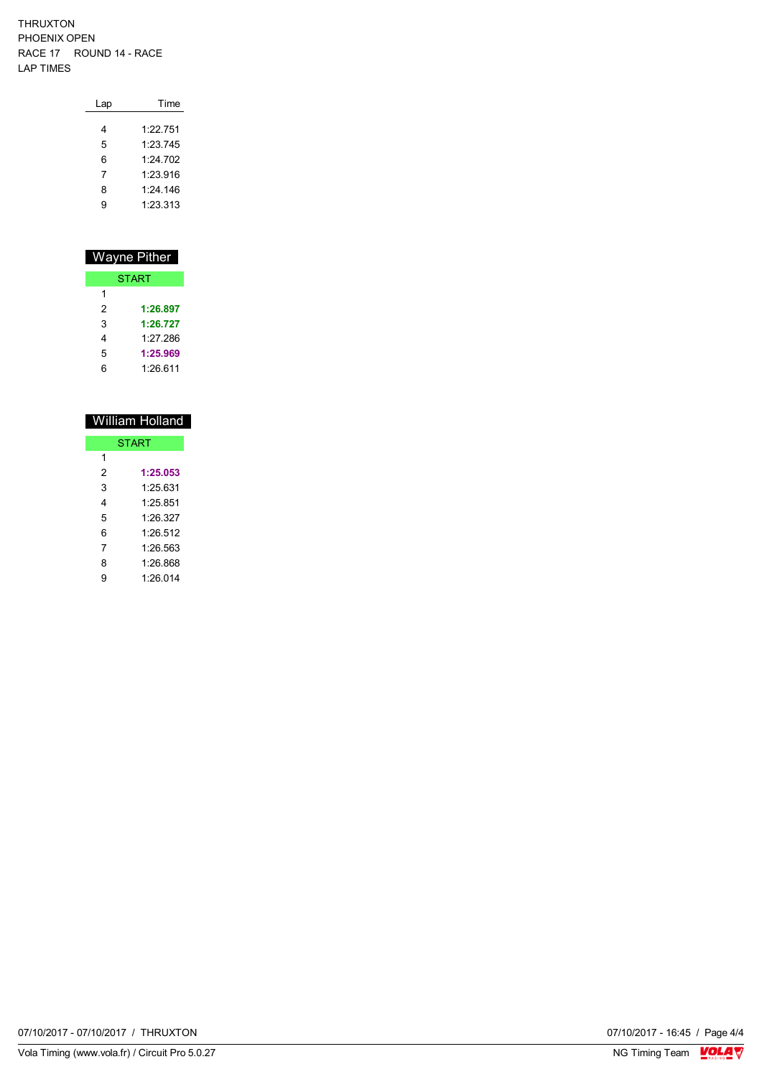#### THRUXTON PHOENIX OPEN RACE 17 ROUND 14 - RACE LAP TIMES

I

| Lap | Time     |
|-----|----------|
| 4   | 1.22751  |
| 5   | 1.23745  |
| 6   | 1.24 702 |
| 7   | 1.23916  |
|     |          |
| 8   | 1.24.146 |
| g   | 1:23.313 |

|   | Wayne Pither |
|---|--------------|
|   | <b>START</b> |
| 1 |              |
| 2 | 1:26.897     |
| 3 | 1:26.727     |
| 4 | 1.27 286     |
| 5 | 1:25.969     |
| հ | 1:26.611     |

|                                                                     | William Holland |  |  |  |  |
|---------------------------------------------------------------------|-----------------|--|--|--|--|
| <b>START</b><br>1<br>2<br>1:25.053<br>3<br>1.25 631<br>4<br>1.25851 |                 |  |  |  |  |
|                                                                     |                 |  |  |  |  |
|                                                                     |                 |  |  |  |  |
|                                                                     |                 |  |  |  |  |
|                                                                     |                 |  |  |  |  |
| 5                                                                   | 1.26.327        |  |  |  |  |
| 6                                                                   | 1.26.512        |  |  |  |  |
| 7                                                                   | 1.26.563        |  |  |  |  |
| 8                                                                   | 1.26.868        |  |  |  |  |
| 9                                                                   | 1.26 014        |  |  |  |  |